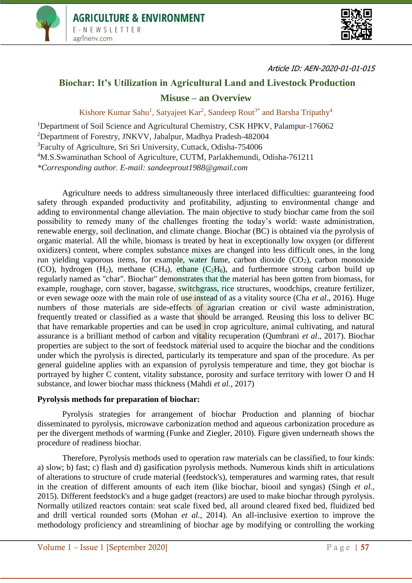



Article ID: AEN-2020-01-01-015

# **Biochar: It's Utilization in Agricultural Land and Livestock Production Misuse – an Overview**

Kishore Kumar Sahu<sup>1</sup>, Satyajeet Kar<sup>2</sup>, Sandeep Rout<sup>3\*</sup> and Barsha Tripathy<sup>4</sup>

<sup>1</sup>Department of Soil Science and Agricultural Chemistry, CSK HPKV, Palampur-176062 <sup>2</sup>Department of Forestry, JNKVV, Jabalpur, Madhya Pradesh-482004 <sup>3</sup>Faculty of Agriculture, Sri Sri University, Cuttack, Odisha-754006 <sup>4</sup>M.S.Swaminathan School of Agriculture, CUTM, Parlakhemundi, Odisha-761211 *\*Corresponding author. E-mail: sandeeprout1988@gmail.com*

Agriculture needs to address simultaneously three interlaced difficulties: guaranteeing food safety through expanded productivity and profitability, adjusting to environmental change and adding to environmental change alleviation. The main objective to study biochar came from the soil possibility to remedy many of the challenges fronting the today's world: waste administration, renewable energy, soil declination, and climate change. Biochar (BC) is obtained via the pyrolysis of organic material. All the while, biomass is treated by heat in exceptionally low oxygen (or different oxidizers) content, where complex substance mixes are changed into less difficult ones, in the long run yielding vaporous items, for example, water fume, carbon dioxide  $(CO<sub>2</sub>)$ , carbon monoxide (CO), hydrogen  $(H_2)$ , methane  $(CH_4)$ , ethane  $(C_2H_6)$ , and furthermore strong carbon build up regularly named as "char". Biochar" demonstrates that the material has been gotten from biomass, for example, roughage, corn stover, bagasse, switchgrass, rice structures, woodchips, creature fertilizer, or even sewage ooze with the main role of use instead of as a vitality source (Cha *et al*., 2016). Huge numbers of those materials are side-effects of agrarian creation or civil waste administration, frequently treated or classified as a waste that should be arranged. Reusing this loss to deliver BC that have remarkable properties and can be used in crop agriculture, animal cultivating, and natural assurance is a brilliant method of carbon and vitality recuperation (Qumbrani *et al*., 2017). Biochar properties are subject to the sort of feedstock material used to acquire the biochar and the conditions under which the pyrolysis is directed, particularly its temperature and span of the procedure. As per general guideline applies with an expansion of pyrolysis temperature and time, they got biochar is portrayed by higher C content, vitality substance, porosity and surface territory with lower O and H substance, and lower biochar mass thickness (Mahdi *et al.,* 2017)

## **Pyrolysis methods for preparation of biochar:**

Pyrolysis strategies for arrangement of biochar Production and planning of biochar disseminated to pyrolysis, microwave carbonization method and aqueous carbonization procedure as per the divergent methods of warming (Funke and Ziegler, 2010). Figure given underneath shows the procedure of readiness biochar.

Therefore, Pyrolysis methods used to operation raw materials can be classified, to four kinds: a) slow; b) fast; c) flash and d) gasification pyrolysis methods. Numerous kinds shift in articulations of alterations to structure of crude material (feedstock's), temperatures and warming rates, that result in the creation of different amounts of each item (like biochar, biooil and syngas) (Singh *et al.,* 2015). Different feedstock's and a huge gadget (reactors) are used to make biochar through pyrolysis. Normally utilized reactors contain: seat scale fixed bed, all around cleared fixed bed, fluidized bed and drill vertical rounded sorts (Mohan *et al.,* 2014). An all-inclusive exertion to improve the methodology proficiency and streamlining of biochar age by modifying or controlling the working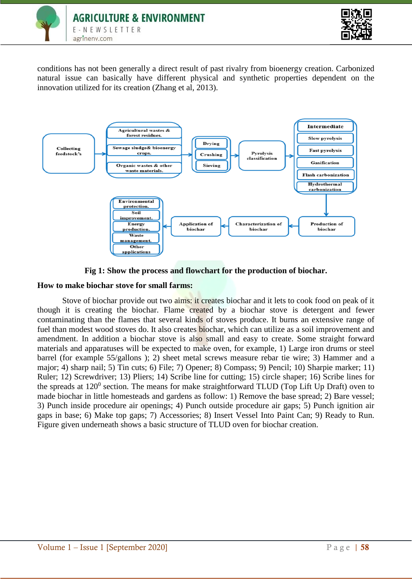



conditions has not been generally a direct result of past rivalry from bioenergy creation. Carbonized natural issue can basically have different physical and synthetic properties dependent on the innovation utilized for its creation (Zhang et al, 2013).



**Fig 1: Show the process and flowchart for the production of biochar.**

## **How to make biochar stove for small farms:**

Stove of biochar provide out two aims: it creates biochar and it lets to cook food on peak of it though it is creating the biochar. Flame created by a biochar stove is detergent and fewer contaminating than the flames that several kinds of stoves produce. It burns an extensive range of fuel than modest wood stoves do. It also creates **biochar**, which can utilize as a soil improvement and amendment. In addition a biochar stove is also small and easy to create. Some straight forward materials and apparatuses will be expected to make oven, for example, 1) Large iron drums or steel barrel (for example 55/gallons ); 2) sheet metal screws measure rebar tie wire; 3) Hammer and a major; 4) sharp nail; 5) Tin cuts; 6) File; 7) Opener; 8) Compass; 9) Pencil; 10) Sharpie marker; 11) Ruler; 12) Screwdriver; 13) Pliers; 14) Scribe line for cutting; 15) circle shaper; 16) Scribe lines for the spreads at  $120^0$  section. The means for make straightforward TLUD (Top Lift Up Draft) oven to made biochar in little homesteads and gardens as follow: 1) Remove the base spread; 2) Bare vessel; 3) Punch inside procedure air openings; 4) Punch outside procedure air gaps; 5) Punch ignition air gaps in base; 6) Make top gaps; 7) Accessories; 8) Insert Vessel Into Paint Can; 9) Ready to Run. Figure given underneath shows a basic structure of TLUD oven for biochar creation.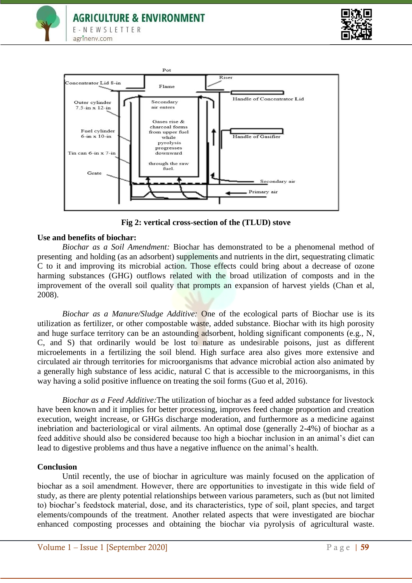





**Fig 2: vertical cross-section of the (TLUD) stove**

## **Use and benefits of biochar:**

*Biochar as a Soil Amendment:* Biochar has demonstrated to be a phenomenal method of presenting and holding (as an adsorbent) supplements and nutrients in the dirt, sequestrating climatic C to it and improving its microbial action. Those effects could bring about a decrease of ozone harming substances (GHG) outflows related with the broad utilization of composts and in the improvement of the overall soil quality that prompts an expansion of harvest yields (Chan et al, 2008).

*Biochar as a Manure/Sludge Additive:* One of the ecological parts of Biochar use is its utilization as fertilizer, or other compostable waste, added substance. Biochar with its high porosity and huge surface territory can be an astounding adsorbent, holding significant components (e.g., N, C, and S) that ordinarily would be lost to nature as undesirable poisons, just as different microelements in a fertilizing the soil blend. High surface area also gives more extensive and circulated air through territories for microorganisms that advance microbial action also animated by a generally high substance of less acidic, natural C that is accessible to the microorganisms, in this way having a solid positive influence on treating the soil forms (Guo et al, 2016).

*Biochar as a Feed Additive:*The utilization of biochar as a feed added substance for livestock have been known and it implies for better processing, improves feed change proportion and creation execution, weight increase, or GHGs discharge moderation, and furthermore as a medicine against inebriation and bacteriological or viral ailments. An optimal dose (generally 2-4%) of biochar as a feed additive should also be considered because too high a biochar inclusion in an animal's diet can lead to digestive problems and thus have a negative influence on the animal's health.

#### **Conclusion**

Until recently, the use of biochar in agriculture was mainly focused on the application of biochar as a soil amendment. However, there are opportunities to investigate in this wide field of study, as there are plenty potential relationships between various parameters, such as (but not limited to) biochar's feedstock material, dose, and its characteristics, type of soil, plant species, and target elements/compounds of the treatment. Another related aspects that were investigated are biochar enhanced composting processes and obtaining the biochar via pyrolysis of agricultural waste.